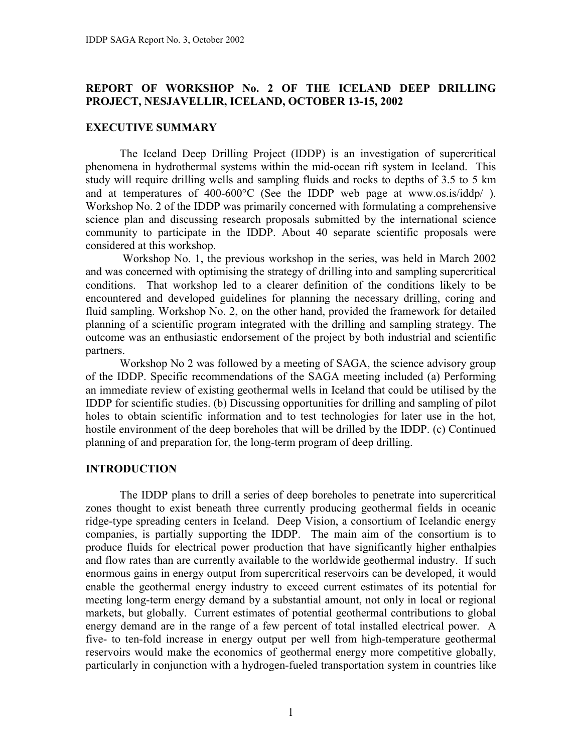## **REPORT OF WORKSHOP No. 2 OF THE ICELAND DEEP DRILLING PROJECT, NESJAVELLIR, ICELAND, OCTOBER 13-15, 2002**

### **EXECUTIVE SUMMARY**

The Iceland Deep Drilling Project (IDDP) is an investigation of supercritical phenomena in hydrothermal systems within the mid-ocean rift system in Iceland. This study will require drilling wells and sampling fluids and rocks to depths of 3.5 to 5 km and at temperatures of 400-600°C (See the IDDP web page at www.os.is/iddp/ ). Workshop No. 2 of the IDDP was primarily concerned with formulating a comprehensive science plan and discussing research proposals submitted by the international science community to participate in the IDDP. About 40 separate scientific proposals were considered at this workshop.

 Workshop No. 1, the previous workshop in the series, was held in March 2002 and was concerned with optimising the strategy of drilling into and sampling supercritical conditions. That workshop led to a clearer definition of the conditions likely to be encountered and developed guidelines for planning the necessary drilling, coring and fluid sampling. Workshop No. 2, on the other hand, provided the framework for detailed planning of a scientific program integrated with the drilling and sampling strategy. The outcome was an enthusiastic endorsement of the project by both industrial and scientific partners.

Workshop No 2 was followed by a meeting of SAGA, the science advisory group of the IDDP. Specific recommendations of the SAGA meeting included (a) Performing an immediate review of existing geothermal wells in Iceland that could be utilised by the IDDP for scientific studies. (b) Discussing opportunities for drilling and sampling of pilot holes to obtain scientific information and to test technologies for later use in the hot, hostile environment of the deep boreholes that will be drilled by the IDDP. (c) Continued planning of and preparation for, the long-term program of deep drilling.

## **INTRODUCTION**

The IDDP plans to drill a series of deep boreholes to penetrate into supercritical zones thought to exist beneath three currently producing geothermal fields in oceanic ridge-type spreading centers in Iceland. Deep Vision, a consortium of Icelandic energy companies, is partially supporting the IDDP. The main aim of the consortium is to produce fluids for electrical power production that have significantly higher enthalpies and flow rates than are currently available to the worldwide geothermal industry. If such enormous gains in energy output from supercritical reservoirs can be developed, it would enable the geothermal energy industry to exceed current estimates of its potential for meeting long-term energy demand by a substantial amount, not only in local or regional markets, but globally. Current estimates of potential geothermal contributions to global energy demand are in the range of a few percent of total installed electrical power. A five- to ten-fold increase in energy output per well from high-temperature geothermal reservoirs would make the economics of geothermal energy more competitive globally, particularly in conjunction with a hydrogen-fueled transportation system in countries like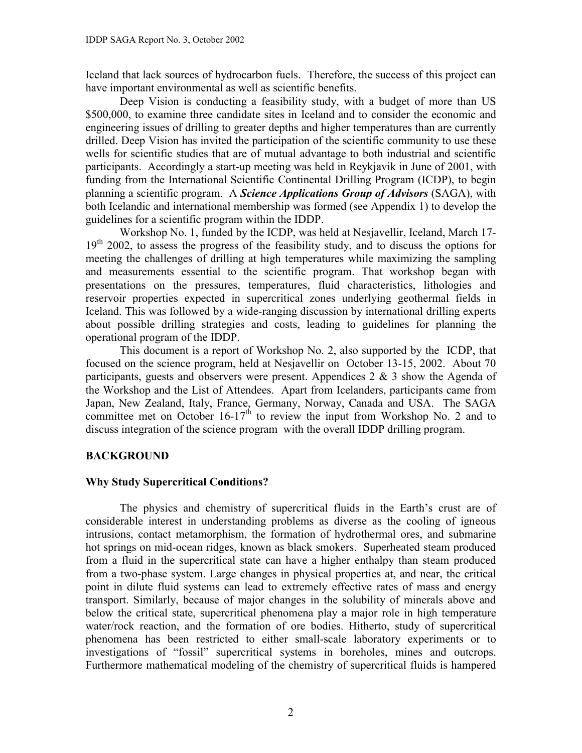Iceland that lack sources of hydrocarbon fuels. Therefore, the success of this project can have important environmental as well as scientific benefits.

Deep Vision is conducting a feasibility study, with a budget of more than US \$500,000, to examine three candidate sites in Iceland and to consider the economic and engineering issues of drilling to greater depths and higher temperatures than are currently drilled. Deep Vision has invited the participation of the scientific community to use these wells for scientific studies that are of mutual advantage to both industrial and scientific participants. Accordingly a start-up meeting was held in Reykjavik in June of 2001, with funding from the International Scientific Continental Drilling Program (ICDP), to begin planning a scientific program. A *Science Applications Group of Advisors* (SAGA), with both Icelandic and international membership was formed (see Appendix 1) to develop the guidelines for a scientific program within the IDDP.

Workshop No. 1, funded by the ICDP, was held at Nesjavellir, Iceland, March 17-  $19<sup>th</sup>$  2002, to assess the progress of the feasibility study, and to discuss the options for meeting the challenges of drilling at high temperatures while maximizing the sampling and measurements essential to the scientific program. That workshop began with presentations on the pressures, temperatures, fluid characteristics, lithologies and reservoir properties expected in supercritical zones underlying geothermal fields in Iceland. This was followed by a wide-ranging discussion by international drilling experts about possible drilling strategies and costs, leading to guidelines for planning the operational program of the IDDP.

This document is a report of Workshop No. 2, also supported by the ICDP, that focused on the science program, held at Nesjavellir on October 13-15, 2002. About 70 participants, guests and observers were present. Appendices 2 & 3 show the Agenda of the Workshop and the List of Attendees. Apart from Icelanders, participants came from Japan, New Zealand, Italy, France, Germany, Norway, Canada and USA. The SAGA committee met on October  $16-17<sup>th</sup>$  to review the input from Workshop No. 2 and to discuss integration of the science program with the overall IDDP drilling program.

## **BACKGROUND**

## **Why Study Supercritical Conditions?**

The physics and chemistry of supercritical fluids in the Earth's crust are of considerable interest in understanding problems as diverse as the cooling of igneous intrusions, contact metamorphism, the formation of hydrothermal ores, and submarine hot springs on mid-ocean ridges, known as black smokers. Superheated steam produced from a fluid in the supercritical state can have a higher enthalpy than steam produced from a two-phase system. Large changes in physical properties at, and near, the critical point in dilute fluid systems can lead to extremely effective rates of mass and energy transport. Similarly, because of major changes in the solubility of minerals above and below the critical state, supercritical phenomena play a major role in high temperature water/rock reaction, and the formation of ore bodies. Hitherto, study of supercritical phenomena has been restricted to either small-scale laboratory experiments or to investigations of "fossil" supercritical systems in boreholes, mines and outcrops. Furthermore mathematical modeling of the chemistry of supercritical fluids is hampered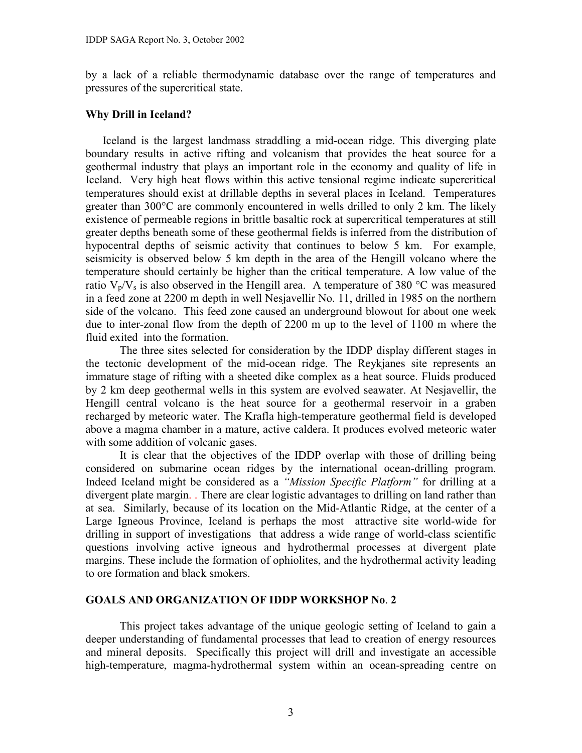by a lack of a reliable thermodynamic database over the range of temperatures and pressures of the supercritical state.

### **Why Drill in Iceland?**

Iceland is the largest landmass straddling a mid-ocean ridge. This diverging plate boundary results in active rifting and volcanism that provides the heat source for a geothermal industry that plays an important role in the economy and quality of life in Iceland. Very high heat flows within this active tensional regime indicate supercritical temperatures should exist at drillable depths in several places in Iceland. Temperatures greater than 300°C are commonly encountered in wells drilled to only 2 km. The likely existence of permeable regions in brittle basaltic rock at supercritical temperatures at still greater depths beneath some of these geothermal fields is inferred from the distribution of hypocentral depths of seismic activity that continues to below 5 km. For example, seismicity is observed below 5 km depth in the area of the Hengill volcano where the temperature should certainly be higher than the critical temperature. A low value of the ratio  $V_p/V_s$  is also observed in the Hengill area. A temperature of 380 °C was measured in a feed zone at 2200 m depth in well Nesjavellir No. 11, drilled in 1985 on the northern side of the volcano. This feed zone caused an underground blowout for about one week due to inter-zonal flow from the depth of 2200 m up to the level of 1100 m where the fluid exited into the formation.

The three sites selected for consideration by the IDDP display different stages in the tectonic development of the mid-ocean ridge. The Reykjanes site represents an immature stage of rifting with a sheeted dike complex as a heat source. Fluids produced by 2 km deep geothermal wells in this system are evolved seawater. At Nesjavellir, the Hengill central volcano is the heat source for a geothermal reservoir in a graben recharged by meteoric water. The Krafla high-temperature geothermal field is developed above a magma chamber in a mature, active caldera. It produces evolved meteoric water with some addition of volcanic gases.

It is clear that the objectives of the IDDP overlap with those of drilling being considered on submarine ocean ridges by the international ocean-drilling program. Indeed Iceland might be considered as a *"Mission Specific Platform"* for drilling at a divergent plate margin. . There are clear logistic advantages to drilling on land rather than at sea. Similarly, because of its location on the Mid-Atlantic Ridge, at the center of a Large Igneous Province, Iceland is perhaps the most attractive site world-wide for drilling in support of investigations that address a wide range of world-class scientific questions involving active igneous and hydrothermal processes at divergent plate margins. These include the formation of ophiolites, and the hydrothermal activity leading to ore formation and black smokers.

#### **GOALS AND ORGANIZATION OF IDDP WORKSHOP No**. **2**

This project takes advantage of the unique geologic setting of Iceland to gain a deeper understanding of fundamental processes that lead to creation of energy resources and mineral deposits. Specifically this project will drill and investigate an accessible high-temperature, magma-hydrothermal system within an ocean-spreading centre on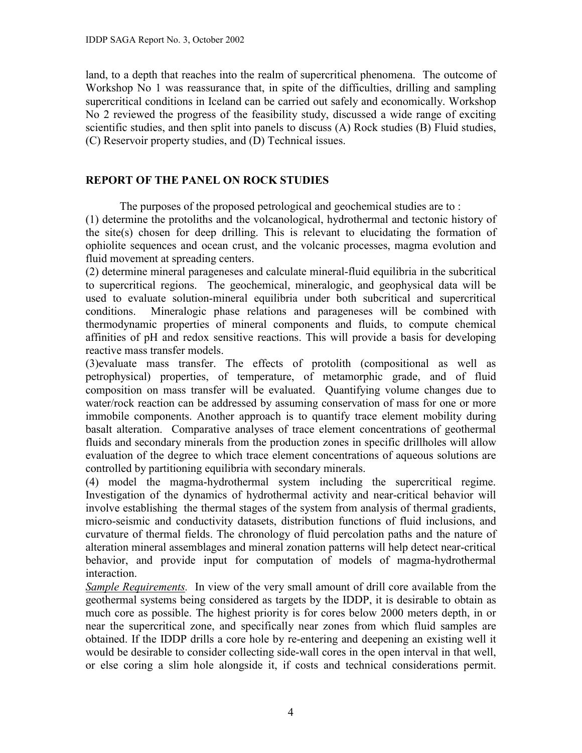land, to a depth that reaches into the realm of supercritical phenomena. The outcome of Workshop No 1 was reassurance that, in spite of the difficulties, drilling and sampling supercritical conditions in Iceland can be carried out safely and economically. Workshop No 2 reviewed the progress of the feasibility study, discussed a wide range of exciting scientific studies, and then split into panels to discuss (A) Rock studies (B) Fluid studies, (C) Reservoir property studies, and (D) Technical issues.

# **REPORT OF THE PANEL ON ROCK STUDIES**

The purposes of the proposed petrological and geochemical studies are to : (1) determine the protoliths and the volcanological, hydrothermal and tectonic history of the site(s) chosen for deep drilling. This is relevant to elucidating the formation of ophiolite sequences and ocean crust, and the volcanic processes, magma evolution and fluid movement at spreading centers.

(2) determine mineral parageneses and calculate mineral-fluid equilibria in the subcritical to supercritical regions. The geochemical, mineralogic, and geophysical data will be used to evaluate solution-mineral equilibria under both subcritical and supercritical conditions. Mineralogic phase relations and parageneses will be combined with thermodynamic properties of mineral components and fluids, to compute chemical affinities of pH and redox sensitive reactions. This will provide a basis for developing reactive mass transfer models.

(3)evaluate mass transfer. The effects of protolith (compositional as well as petrophysical) properties, of temperature, of metamorphic grade, and of fluid composition on mass transfer will be evaluated. Quantifying volume changes due to water/rock reaction can be addressed by assuming conservation of mass for one or more immobile components. Another approach is to quantify trace element mobility during basalt alteration. Comparative analyses of trace element concentrations of geothermal fluids and secondary minerals from the production zones in specific drillholes will allow evaluation of the degree to which trace element concentrations of aqueous solutions are controlled by partitioning equilibria with secondary minerals.

(4) model the magma-hydrothermal system including the supercritical regime. Investigation of the dynamics of hydrothermal activity and near-critical behavior will involve establishing the thermal stages of the system from analysis of thermal gradients, micro-seismic and conductivity datasets, distribution functions of fluid inclusions, and curvature of thermal fields. The chronology of fluid percolation paths and the nature of alteration mineral assemblages and mineral zonation patterns will help detect near-critical behavior, and provide input for computation of models of magma-hydrothermal interaction.

*Sample Requirements.* In view of the very small amount of drill core available from the geothermal systems being considered as targets by the IDDP, it is desirable to obtain as much core as possible. The highest priority is for cores below 2000 meters depth, in or near the supercritical zone, and specifically near zones from which fluid samples are obtained. If the IDDP drills a core hole by re-entering and deepening an existing well it would be desirable to consider collecting side-wall cores in the open interval in that well, or else coring a slim hole alongside it, if costs and technical considerations permit.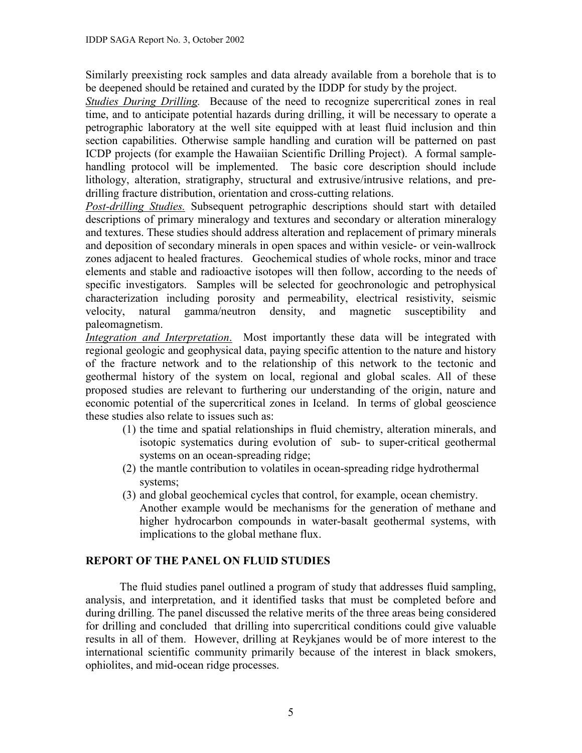Similarly preexisting rock samples and data already available from a borehole that is to be deepened should be retained and curated by the IDDP for study by the project.

*Studies During Drilling.* Because of the need to recognize supercritical zones in real time, and to anticipate potential hazards during drilling, it will be necessary to operate a petrographic laboratory at the well site equipped with at least fluid inclusion and thin section capabilities. Otherwise sample handling and curation will be patterned on past ICDP projects (for example the Hawaiian Scientific Drilling Project). A formal samplehandling protocol will be implemented. The basic core description should include lithology, alteration, stratigraphy, structural and extrusive/intrusive relations, and predrilling fracture distribution, orientation and cross-cutting relations.

*Post-drilling Studies.* Subsequent petrographic descriptions should start with detailed descriptions of primary mineralogy and textures and secondary or alteration mineralogy and textures. These studies should address alteration and replacement of primary minerals and deposition of secondary minerals in open spaces and within vesicle- or vein-wallrock zones adjacent to healed fractures. Geochemical studies of whole rocks, minor and trace elements and stable and radioactive isotopes will then follow, according to the needs of specific investigators. Samples will be selected for geochronologic and petrophysical characterization including porosity and permeability, electrical resistivity, seismic velocity, natural gamma/neutron density, and magnetic susceptibility and paleomagnetism.

*Integration and Interpretation*. Most importantly these data will be integrated with regional geologic and geophysical data, paying specific attention to the nature and history of the fracture network and to the relationship of this network to the tectonic and geothermal history of the system on local, regional and global scales. All of these proposed studies are relevant to furthering our understanding of the origin, nature and economic potential of the supercritical zones in Iceland. In terms of global geoscience these studies also relate to issues such as:

- (1) the time and spatial relationships in fluid chemistry, alteration minerals, and isotopic systematics during evolution of sub- to super-critical geothermal systems on an ocean-spreading ridge;
- (2) the mantle contribution to volatiles in ocean-spreading ridge hydrothermal systems;
- (3) and global geochemical cycles that control, for example, ocean chemistry. Another example would be mechanisms for the generation of methane and higher hydrocarbon compounds in water-basalt geothermal systems, with implications to the global methane flux.

# **REPORT OF THE PANEL ON FLUID STUDIES**

The fluid studies panel outlined a program of study that addresses fluid sampling, analysis, and interpretation, and it identified tasks that must be completed before and during drilling. The panel discussed the relative merits of the three areas being considered for drilling and concluded that drilling into supercritical conditions could give valuable results in all of them. However, drilling at Reykjanes would be of more interest to the international scientific community primarily because of the interest in black smokers, ophiolites, and mid-ocean ridge processes.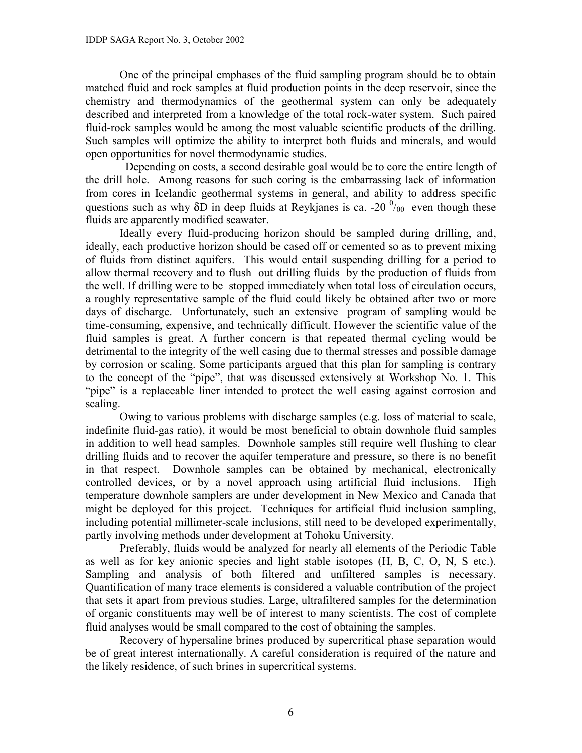One of the principal emphases of the fluid sampling program should be to obtain matched fluid and rock samples at fluid production points in the deep reservoir, since the chemistry and thermodynamics of the geothermal system can only be adequately described and interpreted from a knowledge of the total rock-water system. Such paired fluid-rock samples would be among the most valuable scientific products of the drilling. Such samples will optimize the ability to interpret both fluids and minerals, and would open opportunities for novel thermodynamic studies.

 Depending on costs, a second desirable goal would be to core the entire length of the drill hole. Among reasons for such coring is the embarrassing lack of information from cores in Icelandic geothermal systems in general, and ability to address specific questions such as why  $\delta D$  in deep fluids at Reykjanes is ca. -20  $\frac{0}{00}$  even though these fluids are apparently modified seawater.

Ideally every fluid-producing horizon should be sampled during drilling, and, ideally, each productive horizon should be cased off or cemented so as to prevent mixing of fluids from distinct aquifers. This would entail suspending drilling for a period to allow thermal recovery and to flush out drilling fluids by the production of fluids from the well. If drilling were to be stopped immediately when total loss of circulation occurs, a roughly representative sample of the fluid could likely be obtained after two or more days of discharge. Unfortunately, such an extensive program of sampling would be time-consuming, expensive, and technically difficult. However the scientific value of the fluid samples is great. A further concern is that repeated thermal cycling would be detrimental to the integrity of the well casing due to thermal stresses and possible damage by corrosion or scaling. Some participants argued that this plan for sampling is contrary to the concept of the "pipe", that was discussed extensively at Workshop No. 1. This "pipe" is a replaceable liner intended to protect the well casing against corrosion and scaling.

Owing to various problems with discharge samples (e.g. loss of material to scale, indefinite fluid-gas ratio), it would be most beneficial to obtain downhole fluid samples in addition to well head samples. Downhole samples still require well flushing to clear drilling fluids and to recover the aquifer temperature and pressure, so there is no benefit in that respect. Downhole samples can be obtained by mechanical, electronically controlled devices, or by a novel approach using artificial fluid inclusions. High temperature downhole samplers are under development in New Mexico and Canada that might be deployed for this project. Techniques for artificial fluid inclusion sampling, including potential millimeter-scale inclusions, still need to be developed experimentally, partly involving methods under development at Tohoku University.

Preferably, fluids would be analyzed for nearly all elements of the Periodic Table as well as for key anionic species and light stable isotopes (H, B, C, O, N, S etc.). Sampling and analysis of both filtered and unfiltered samples is necessary. Quantification of many trace elements is considered a valuable contribution of the project that sets it apart from previous studies. Large, ultrafiltered samples for the determination of organic constituents may well be of interest to many scientists. The cost of complete fluid analyses would be small compared to the cost of obtaining the samples.

 Recovery of hypersaline brines produced by supercritical phase separation would be of great interest internationally. A careful consideration is required of the nature and the likely residence, of such brines in supercritical systems.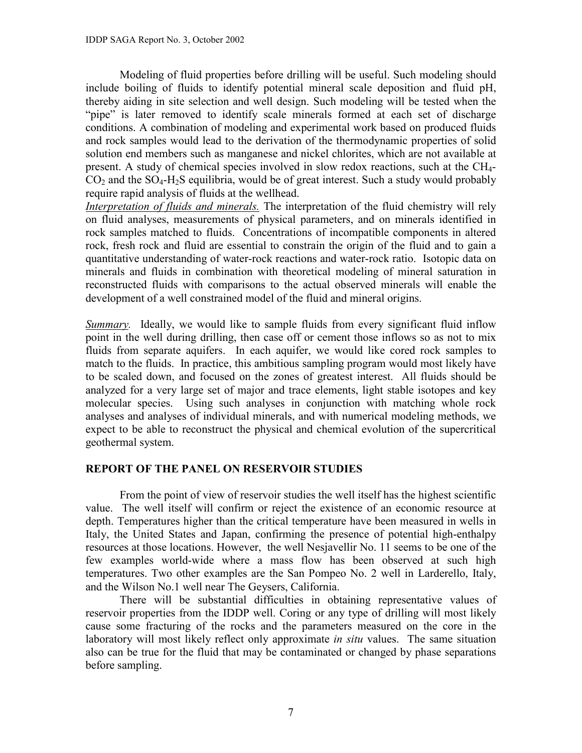Modeling of fluid properties before drilling will be useful. Such modeling should include boiling of fluids to identify potential mineral scale deposition and fluid pH, thereby aiding in site selection and well design. Such modeling will be tested when the "pipe" is later removed to identify scale minerals formed at each set of discharge conditions. A combination of modeling and experimental work based on produced fluids and rock samples would lead to the derivation of the thermodynamic properties of solid solution end members such as manganese and nickel chlorites, which are not available at present. A study of chemical species involved in slow redox reactions, such at the CH4-  $CO<sub>2</sub>$  and the  $SO<sub>4</sub>-H<sub>2</sub>S$  equilibria, would be of great interest. Such a study would probably require rapid analysis of fluids at the wellhead.

*Interpretation of fluids and minerals.* The interpretation of the fluid chemistry will rely on fluid analyses, measurements of physical parameters, and on minerals identified in rock samples matched to fluids. Concentrations of incompatible components in altered rock, fresh rock and fluid are essential to constrain the origin of the fluid and to gain a quantitative understanding of water-rock reactions and water-rock ratio. Isotopic data on minerals and fluids in combination with theoretical modeling of mineral saturation in reconstructed fluids with comparisons to the actual observed minerals will enable the development of a well constrained model of the fluid and mineral origins.

*Summary*. Ideally, we would like to sample fluids from every significant fluid inflow point in the well during drilling, then case off or cement those inflows so as not to mix fluids from separate aquifers. In each aquifer, we would like cored rock samples to match to the fluids. In practice, this ambitious sampling program would most likely have to be scaled down, and focused on the zones of greatest interest. All fluids should be analyzed for a very large set of major and trace elements, light stable isotopes and key molecular species. Using such analyses in conjunction with matching whole rock analyses and analyses of individual minerals, and with numerical modeling methods, we expect to be able to reconstruct the physical and chemical evolution of the supercritical geothermal system.

## **REPORT OF THE PANEL ON RESERVOIR STUDIES**

From the point of view of reservoir studies the well itself has the highest scientific value. The well itself will confirm or reject the existence of an economic resource at depth. Temperatures higher than the critical temperature have been measured in wells in Italy, the United States and Japan, confirming the presence of potential high-enthalpy resources at those locations. However, the well Nesjavellir No. 11 seems to be one of the few examples world-wide where a mass flow has been observed at such high temperatures. Two other examples are the San Pompeo No. 2 well in Larderello, Italy, and the Wilson No.1 well near The Geysers, California.

There will be substantial difficulties in obtaining representative values of reservoir properties from the IDDP well. Coring or any type of drilling will most likely cause some fracturing of the rocks and the parameters measured on the core in the laboratory will most likely reflect only approximate *in situ* values. The same situation also can be true for the fluid that may be contaminated or changed by phase separations before sampling.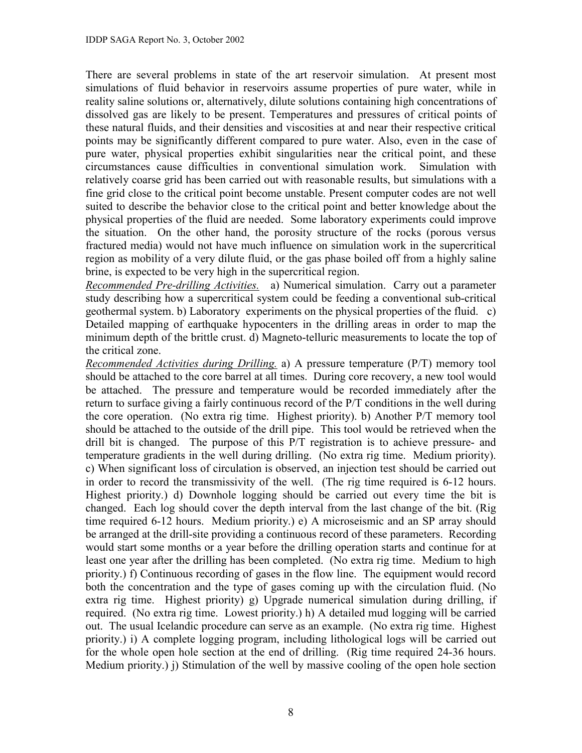There are several problems in state of the art reservoir simulation. At present most simulations of fluid behavior in reservoirs assume properties of pure water, while in reality saline solutions or, alternatively, dilute solutions containing high concentrations of dissolved gas are likely to be present. Temperatures and pressures of critical points of these natural fluids, and their densities and viscosities at and near their respective critical points may be significantly different compared to pure water. Also, even in the case of pure water, physical properties exhibit singularities near the critical point, and these circumstances cause difficulties in conventional simulation work. Simulation with relatively coarse grid has been carried out with reasonable results, but simulations with a fine grid close to the critical point become unstable. Present computer codes are not well suited to describe the behavior close to the critical point and better knowledge about the physical properties of the fluid are needed. Some laboratory experiments could improve the situation. On the other hand, the porosity structure of the rocks (porous versus fractured media) would not have much influence on simulation work in the supercritical region as mobility of a very dilute fluid, or the gas phase boiled off from a highly saline brine, is expected to be very high in the supercritical region.

*Recommended Pre-drilling Activities.* a) Numerical simulation. Carry out a parameter study describing how a supercritical system could be feeding a conventional sub-critical geothermal system. b) Laboratory experiments on the physical properties of the fluid. c) Detailed mapping of earthquake hypocenters in the drilling areas in order to map the minimum depth of the brittle crust. d) Magneto-telluric measurements to locate the top of the critical zone.

*Recommended Activities during Drilling.* a) A pressure temperature (P/T) memory tool should be attached to the core barrel at all times. During core recovery, a new tool would be attached. The pressure and temperature would be recorded immediately after the return to surface giving a fairly continuous record of the P/T conditions in the well during the core operation. (No extra rig time. Highest priority). b) Another P/T memory tool should be attached to the outside of the drill pipe. This tool would be retrieved when the drill bit is changed. The purpose of this P/T registration is to achieve pressure- and temperature gradients in the well during drilling. (No extra rig time. Medium priority). c) When significant loss of circulation is observed, an injection test should be carried out in order to record the transmissivity of the well. (The rig time required is 6-12 hours. Highest priority.) d) Downhole logging should be carried out every time the bit is changed. Each log should cover the depth interval from the last change of the bit. (Rig time required 6-12 hours. Medium priority.) e) A microseismic and an SP array should be arranged at the drill-site providing a continuous record of these parameters. Recording would start some months or a year before the drilling operation starts and continue for at least one year after the drilling has been completed. (No extra rig time. Medium to high priority.) f) Continuous recording of gases in the flow line. The equipment would record both the concentration and the type of gases coming up with the circulation fluid. (No extra rig time. Highest priority) g) Upgrade numerical simulation during drilling, if required. (No extra rig time. Lowest priority.) h) A detailed mud logging will be carried out. The usual Icelandic procedure can serve as an example. (No extra rig time. Highest priority.) i) A complete logging program, including lithological logs will be carried out for the whole open hole section at the end of drilling. (Rig time required 24-36 hours. Medium priority.) j) Stimulation of the well by massive cooling of the open hole section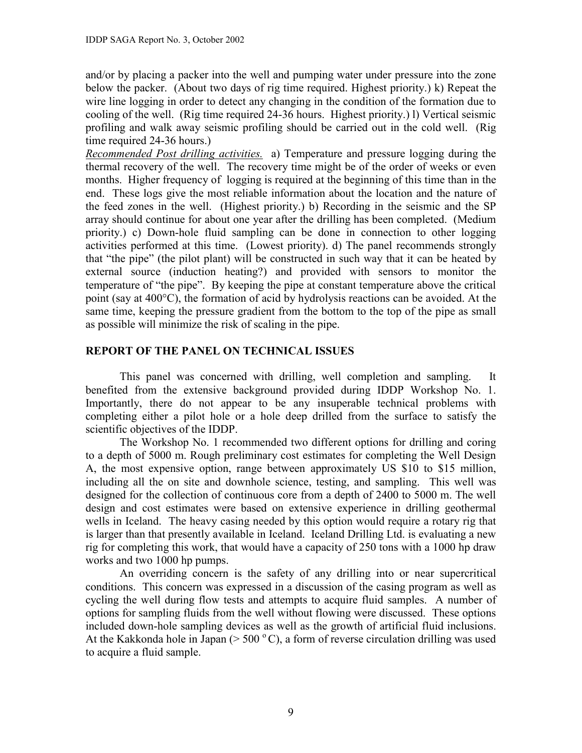and/or by placing a packer into the well and pumping water under pressure into the zone below the packer. (About two days of rig time required. Highest priority.) k) Repeat the wire line logging in order to detect any changing in the condition of the formation due to cooling of the well. (Rig time required 24-36 hours. Highest priority.) l) Vertical seismic profiling and walk away seismic profiling should be carried out in the cold well. (Rig time required 24-36 hours.)

*Recommended Post drilling activities.* a) Temperature and pressure logging during the thermal recovery of the well. The recovery time might be of the order of weeks or even months. Higher frequency of logging is required at the beginning of this time than in the end. These logs give the most reliable information about the location and the nature of the feed zones in the well. (Highest priority.) b) Recording in the seismic and the SP array should continue for about one year after the drilling has been completed. (Medium priority.) c) Down-hole fluid sampling can be done in connection to other logging activities performed at this time. (Lowest priority). d) The panel recommends strongly that "the pipe" (the pilot plant) will be constructed in such way that it can be heated by external source (induction heating?) and provided with sensors to monitor the temperature of "the pipe". By keeping the pipe at constant temperature above the critical point (say at 400°C), the formation of acid by hydrolysis reactions can be avoided. At the same time, keeping the pressure gradient from the bottom to the top of the pipe as small as possible will minimize the risk of scaling in the pipe.

## **REPORT OF THE PANEL ON TECHNICAL ISSUES**

This panel was concerned with drilling, well completion and sampling. It benefited from the extensive background provided during IDDP Workshop No. 1. Importantly, there do not appear to be any insuperable technical problems with completing either a pilot hole or a hole deep drilled from the surface to satisfy the scientific objectives of the IDDP.

The Workshop No. 1 recommended two different options for drilling and coring to a depth of 5000 m. Rough preliminary cost estimates for completing the Well Design A, the most expensive option, range between approximately US \$10 to \$15 million, including all the on site and downhole science, testing, and sampling. This well was designed for the collection of continuous core from a depth of 2400 to 5000 m. The well design and cost estimates were based on extensive experience in drilling geothermal wells in Iceland. The heavy casing needed by this option would require a rotary rig that is larger than that presently available in Iceland. Iceland Drilling Ltd. is evaluating a new rig for completing this work, that would have a capacity of 250 tons with a 1000 hp draw works and two 1000 hp pumps.

An overriding concern is the safety of any drilling into or near supercritical conditions. This concern was expressed in a discussion of the casing program as well as cycling the well during flow tests and attempts to acquire fluid samples. A number of options for sampling fluids from the well without flowing were discussed. These options included down-hole sampling devices as well as the growth of artificial fluid inclusions. At the Kakkonda hole in Japan ( $>$  500  $^{\circ}$  C), a form of reverse circulation drilling was used to acquire a fluid sample.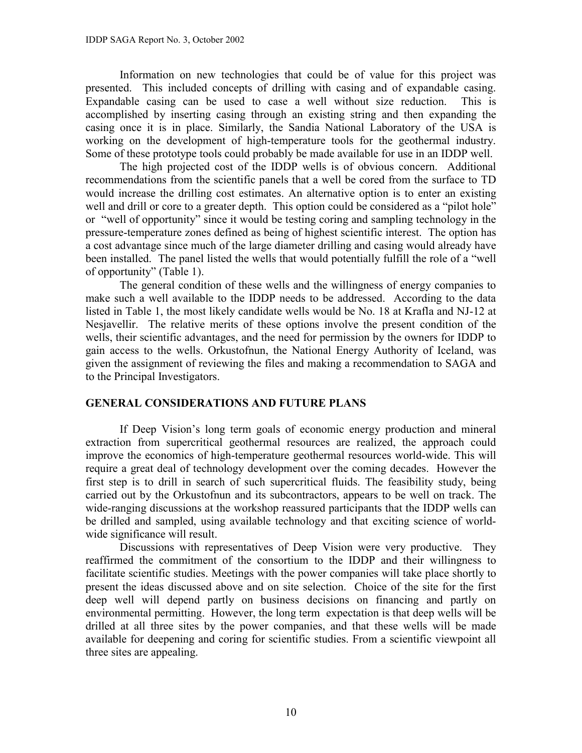Information on new technologies that could be of value for this project was presented. This included concepts of drilling with casing and of expandable casing. Expandable casing can be used to case a well without size reduction. This is accomplished by inserting casing through an existing string and then expanding the casing once it is in place. Similarly, the Sandia National Laboratory of the USA is working on the development of high-temperature tools for the geothermal industry. Some of these prototype tools could probably be made available for use in an IDDP well.

The high projected cost of the IDDP wells is of obvious concern. Additional recommendations from the scientific panels that a well be cored from the surface to TD would increase the drilling cost estimates. An alternative option is to enter an existing well and drill or core to a greater depth. This option could be considered as a "pilot hole" or "well of opportunity" since it would be testing coring and sampling technology in the pressure-temperature zones defined as being of highest scientific interest. The option has a cost advantage since much of the large diameter drilling and casing would already have been installed. The panel listed the wells that would potentially fulfill the role of a "well of opportunity" (Table 1).

The general condition of these wells and the willingness of energy companies to make such a well available to the IDDP needs to be addressed. According to the data listed in Table 1, the most likely candidate wells would be No. 18 at Krafla and NJ-12 at Nesjavellir. The relative merits of these options involve the present condition of the wells, their scientific advantages, and the need for permission by the owners for IDDP to gain access to the wells. Orkustofnun, the National Energy Authority of Iceland, was given the assignment of reviewing the files and making a recommendation to SAGA and to the Principal Investigators.

### **GENERAL CONSIDERATIONS AND FUTURE PLANS**

 If Deep Vision's long term goals of economic energy production and mineral extraction from supercritical geothermal resources are realized, the approach could improve the economics of high-temperature geothermal resources world-wide. This will require a great deal of technology development over the coming decades. However the first step is to drill in search of such supercritical fluids. The feasibility study, being carried out by the Orkustofnun and its subcontractors, appears to be well on track. The wide-ranging discussions at the workshop reassured participants that the IDDP wells can be drilled and sampled, using available technology and that exciting science of worldwide significance will result.

Discussions with representatives of Deep Vision were very productive. They reaffirmed the commitment of the consortium to the IDDP and their willingness to facilitate scientific studies. Meetings with the power companies will take place shortly to present the ideas discussed above and on site selection. Choice of the site for the first deep well will depend partly on business decisions on financing and partly on environmental permitting. However, the long term expectation is that deep wells will be drilled at all three sites by the power companies, and that these wells will be made available for deepening and coring for scientific studies. From a scientific viewpoint all three sites are appealing.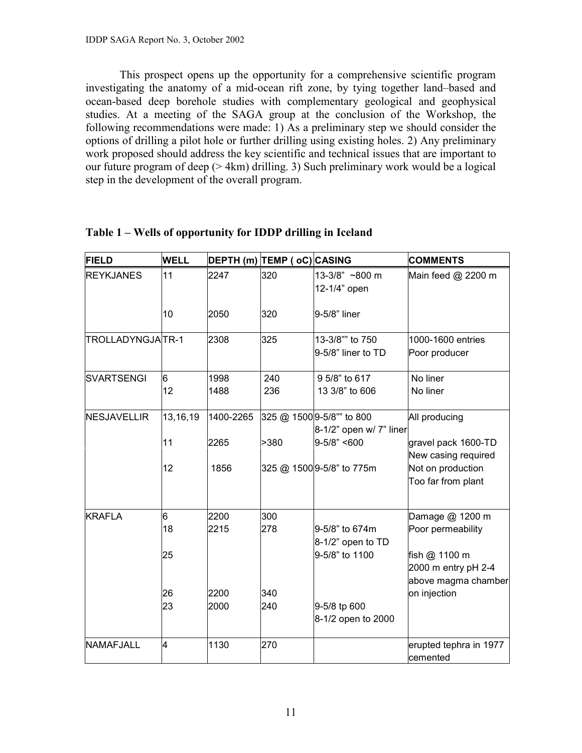This prospect opens up the opportunity for a comprehensive scientific program investigating the anatomy of a mid-ocean rift zone, by tying together land–based and ocean-based deep borehole studies with complementary geological and geophysical studies. At a meeting of the SAGA group at the conclusion of the Workshop, the following recommendations were made: 1) As a preliminary step we should consider the options of drilling a pilot hole or further drilling using existing holes. 2) Any preliminary work proposed should address the key scientific and technical issues that are important to our future program of deep (> 4km) drilling. 3) Such preliminary work would be a logical step in the development of the overall program.

| <b>FIELD</b>       | <b>WELL</b>               |                              | DEPTH (m) TEMP ( oC) CASING |                                                                                                       | <b>COMMENTS</b>                                                                                                     |
|--------------------|---------------------------|------------------------------|-----------------------------|-------------------------------------------------------------------------------------------------------|---------------------------------------------------------------------------------------------------------------------|
| <b>REYKJANES</b>   | 11                        | 2247                         | 320                         | 13-3/8" ~800 m<br>12-1/4" open                                                                        | Main feed @ 2200 m                                                                                                  |
|                    | 10                        | 2050                         | 320                         | 9-5/8" liner                                                                                          |                                                                                                                     |
| TROLLADYNGJATR-1   |                           | 2308                         | 325                         | 13-3/8"" to 750<br>9-5/8" liner to TD                                                                 | 1000-1600 entries<br>Poor producer                                                                                  |
| <b>SVARTSENGI</b>  | 6<br>12                   | 1998<br>1488                 | 240<br>236                  | 9 5/8" to 617<br>13 3/8" to 606                                                                       | No liner<br>No liner                                                                                                |
| <b>NESJAVELLIR</b> | 13,16,19<br>11<br>12      | 1400-2265<br>2265<br>1856    | >380                        | 325 @ 1500 9-5/8"" to 800<br>8-1/2" open w/ 7" liner<br>$9 - 5/8" < 600$<br>325 @ 1500 9-5/8" to 775m | All producing<br>gravel pack 1600-TD<br>New casing required<br>Not on production<br>Too far from plant              |
| <b>KRAFLA</b>      | 6<br>18<br>25<br>26<br>23 | 2200<br>2215<br>2200<br>2000 | 300<br>278<br>340<br>240    | 9-5/8" to 674m<br>$8-1/2$ " open to TD<br>9-5/8" to 1100<br>9-5/8 tp 600<br>8-1/2 open to 2000        | Damage @ 1200 m<br>Poor permeability<br>fish @ 1100 m<br>2000 m entry pH 2-4<br>above magma chamber<br>on injection |
| NAMAFJALL          | 4                         | 1130                         | 270                         |                                                                                                       | erupted tephra in 1977<br>cemented                                                                                  |

**Table 1 – Wells of opportunity for IDDP drilling in Iceland**